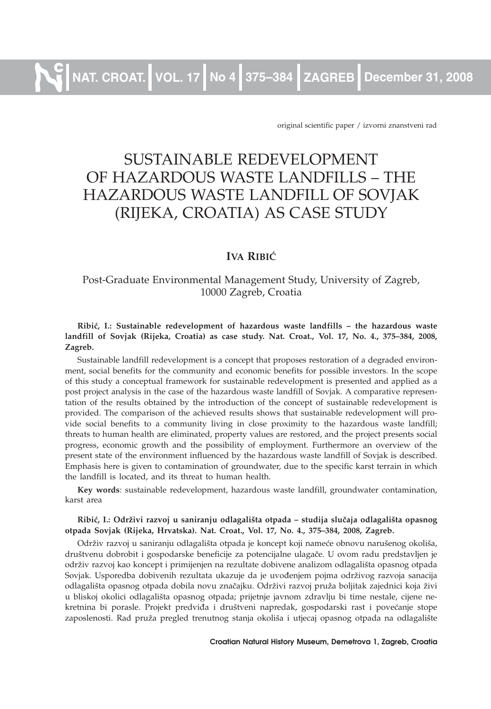original scientific paper / izvorni znanstveni rad

# SUSTAINABLE REDEVELOPMENT OF HAZARDOUS WASTE LANDFILLS – THE HAZARDOUS WASTE LANDFILL OF SOVJAK (RIJEKA, CROATIA) AS CASE STUDY

# **IVA** RIBIĆ

# Post-Graduate Environmental Management Study, University of Zagreb, 10000 Zagreb, Croatia

#### **Ribi}, I.: Sustainable redevelopment of hazardous waste landfills – the hazardous waste landfill of Sovjak (Rijeka, Croatia) as case study. Nat. Croat., Vol. 17, No. 4., 375–384, 2008, Zagreb.**

Sustainable landfill redevelopment is a concept that proposes restoration of a degraded environment, social benefits for the community and economic benefits for possible investors. In the scope of this study a conceptual framework for sustainable redevelopment is presented and applied as a post project analysis in the case of the hazardous waste landfill of Sovjak. A comparative representation of the results obtained by the introduction of the concept of sustainable redevelopment is provided. The comparison of the achieved results shows that sustainable redevelopment will provide social benefits to a community living in close proximity to the hazardous waste landfill; threats to human health are eliminated, property values are restored, and the project presents social progress, economic growth and the possibility of employment. Furthermore an overview of the present state of the environment influenced by the hazardous waste landfill of Sovjak is described. Emphasis here is given to contamination of groundwater, due to the specific karst terrain in which the landfill is located, and its threat to human health.

**Key words**: sustainable redevelopment, hazardous waste landfill, groundwater contamination, karst area

#### Ribić, I.: Održivi razvoj u saniranju odlagališta otpada - studija slučaja odlagališta opasnog **otpada Sovjak (Rijeka, Hrvatska). Nat. Croat., Vol. 17, No. 4., 375–384, 2008, Zagreb.**

Održiv razvoj u saniranju odlagališta otpada je koncept koji nameće obnovu narušenog okoliša, društvenu dobrobit i gospodarske beneficije za potencijalne ulagače. U ovom radu predstavljen je održiv razvoj kao koncept i primijenjen na rezultate dobivene analizom odlagališta opasnog otpada Sovjak. Usporedba dobivenih rezultata ukazuje da je uvođenjem pojma održivog razvoja sanacija odlagališta opasnog otpada dobila novu značajku. Održivi razvoj pruža boljitak zajednici koja živi u bliskoj okolici odlagališta opasnog otpada; prijetnje javnom zdravlju bi time nestale, cijene nekretnina bi porasle. Projekt predviđa i društveni napredak, gospodarski rast i povećanje stope zaposlenosti. Rad pruža pregled trenutnog stanja okoliša i utjecaj opasnog otpada na odlagalište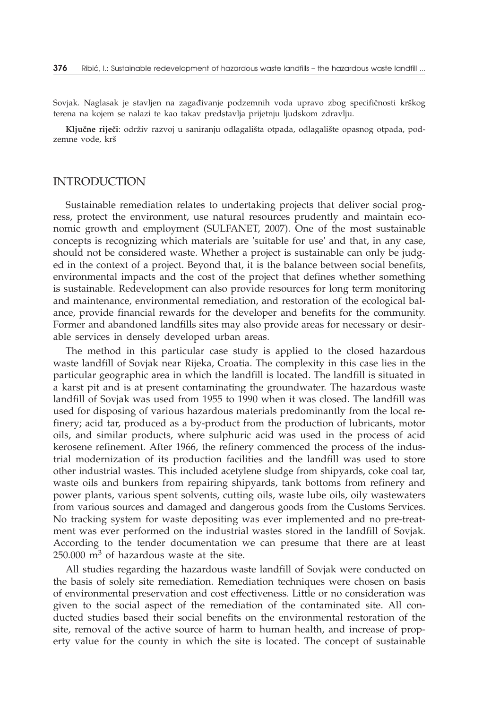Sovjak. Naglasak je stavljen na zagađivanje podzemnih voda upravo zbog specifičnosti krškog terena na kojem se nalazi te kao takav predstavlja prijetnju ljudskom zdravlju.

Ključne riječi: održiv razvoj u saniranju odlagališta otpada, odlagalište opasnog otpada, podzemne vode, krš

#### INTRODUCTION

Sustainable remediation relates to undertaking projects that deliver social progress, protect the environment, use natural resources prudently and maintain economic growth and employment (SULFANET, 2007). One of the most sustainable concepts is recognizing which materials are 'suitable for use' and that, in any case, should not be considered waste. Whether a project is sustainable can only be judged in the context of a project. Beyond that, it is the balance between social benefits, environmental impacts and the cost of the project that defines whether something is sustainable. Redevelopment can also provide resources for long term monitoring and maintenance, environmental remediation, and restoration of the ecological balance, provide financial rewards for the developer and benefits for the community. Former and abandoned landfills sites may also provide areas for necessary or desirable services in densely developed urban areas.

The method in this particular case study is applied to the closed hazardous waste landfill of Sovjak near Rijeka, Croatia. The complexity in this case lies in the particular geographic area in which the landfill is located. The landfill is situated in a karst pit and is at present contaminating the groundwater. The hazardous waste landfill of Sovjak was used from 1955 to 1990 when it was closed. The landfill was used for disposing of various hazardous materials predominantly from the local refinery; acid tar, produced as a by-product from the production of lubricants, motor oils, and similar products, where sulphuric acid was used in the process of acid kerosene refinement. After 1966, the refinery commenced the process of the industrial modernization of its production facilities and the landfill was used to store other industrial wastes. This included acetylene sludge from shipyards, coke coal tar, waste oils and bunkers from repairing shipyards, tank bottoms from refinery and power plants, various spent solvents, cutting oils, waste lube oils, oily wastewaters from various sources and damaged and dangerous goods from the Customs Services. No tracking system for waste depositing was ever implemented and no pre-treatment was ever performed on the industrial wastes stored in the landfill of Sovjak. According to the tender documentation we can presume that there are at least  $250.000$  m<sup>3</sup> of hazardous waste at the site.

All studies regarding the hazardous waste landfill of Sovjak were conducted on the basis of solely site remediation. Remediation techniques were chosen on basis of environmental preservation and cost effectiveness. Little or no consideration was given to the social aspect of the remediation of the contaminated site. All conducted studies based their social benefits on the environmental restoration of the site, removal of the active source of harm to human health, and increase of property value for the county in which the site is located. The concept of sustainable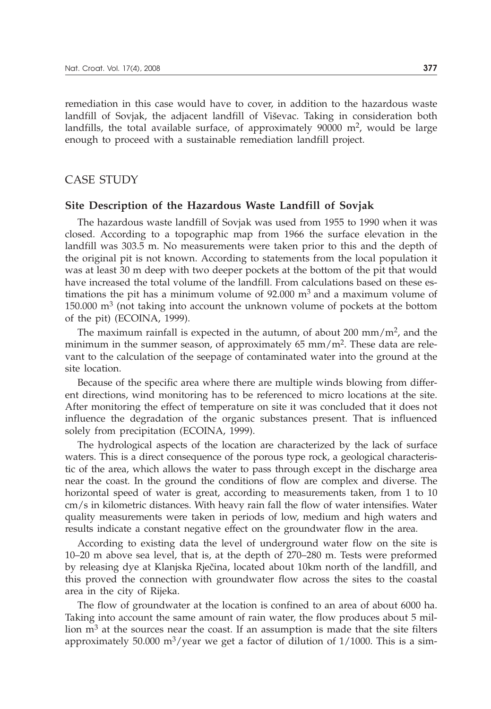remediation in this case would have to cover, in addition to the hazardous waste landfill of Sovjak, the adjacent landfill of Viševac. Taking in consideration both landfills, the total available surface, of approximately  $90000 \text{ m}^2$ , would be large enough to proceed with a sustainable remediation landfill project.

## CASE STUDY

#### **Site Description of the Hazardous Waste Landfill of Sovjak**

The hazardous waste landfill of Sovjak was used from 1955 to 1990 when it was closed. According to a topographic map from 1966 the surface elevation in the landfill was 303.5 m. No measurements were taken prior to this and the depth of the original pit is not known. According to statements from the local population it was at least 30 m deep with two deeper pockets at the bottom of the pit that would have increased the total volume of the landfill. From calculations based on these estimations the pit has a minimum volume of 92.000  $m<sup>3</sup>$  and a maximum volume of 150.000  $\text{m}^3$  (not taking into account the unknown volume of pockets at the bottom of the pit) (ECOINA, 1999).

The maximum rainfall is expected in the autumn, of about 200 mm/ $m<sup>2</sup>$ , and the minimum in the summer season, of approximately  $65 \text{ mm/m}^2$ . These data are relevant to the calculation of the seepage of contaminated water into the ground at the site location.

Because of the specific area where there are multiple winds blowing from different directions, wind monitoring has to be referenced to micro locations at the site. After monitoring the effect of temperature on site it was concluded that it does not influence the degradation of the organic substances present. That is influenced solely from precipitation (ECOINA, 1999).

The hydrological aspects of the location are characterized by the lack of surface waters. This is a direct consequence of the porous type rock, a geological characteristic of the area, which allows the water to pass through except in the discharge area near the coast. In the ground the conditions of flow are complex and diverse. The horizontal speed of water is great, according to measurements taken, from 1 to 10 cm/s in kilometric distances. With heavy rain fall the flow of water intensifies. Water quality measurements were taken in periods of low, medium and high waters and results indicate a constant negative effect on the groundwater flow in the area.

According to existing data the level of underground water flow on the site is 10–20 m above sea level, that is, at the depth of 270–280 m. Tests were preformed by releasing dye at Klanjska Rječina, located about 10km north of the landfill, and this proved the connection with groundwater flow across the sites to the coastal area in the city of Rijeka.

The flow of groundwater at the location is confined to an area of about 6000 ha. Taking into account the same amount of rain water, the flow produces about 5 million  $m<sup>3</sup>$  at the sources near the coast. If an assumption is made that the site filters approximately 50.000 m<sup>3</sup>/year we get a factor of dilution of  $1/1000$ . This is a sim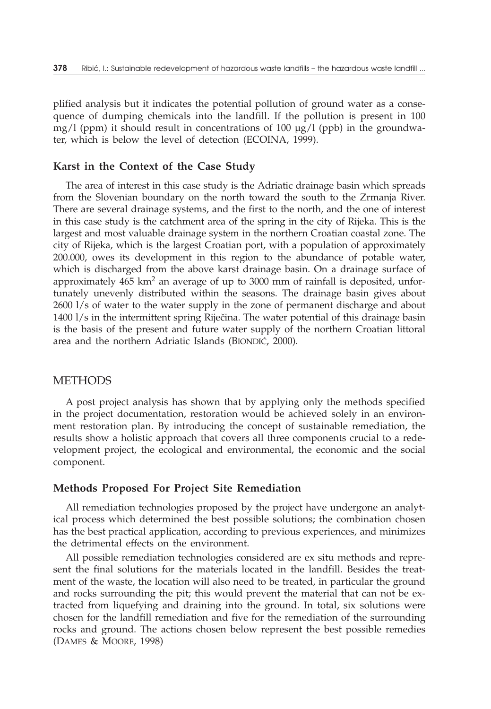plified analysis but it indicates the potential pollution of ground water as a consequence of dumping chemicals into the landfill. If the pollution is present in 100 mg/l (ppm) it should result in concentrations of 100  $\mu$ g/l (ppb) in the groundwater, which is below the level of detection (ECOINA, 1999).

### **Karst in the Context of the Case Study**

The area of interest in this case study is the Adriatic drainage basin which spreads from the Slovenian boundary on the north toward the south to the Zrmanja River. There are several drainage systems, and the first to the north, and the one of interest in this case study is the catchment area of the spring in the city of Rijeka. This is the largest and most valuable drainage system in the northern Croatian coastal zone. The city of Rijeka, which is the largest Croatian port, with a population of approximately 200.000, owes its development in this region to the abundance of potable water, which is discharged from the above karst drainage basin. On a drainage surface of approximately  $465 \text{ km}^2$  an average of up to 3000 mm of rainfall is deposited, unfortunately unevenly distributed within the seasons. The drainage basin gives about 2600 l/s of water to the water supply in the zone of permanent discharge and about  $1400 \frac{1}{s}$  in the intermittent spring Riječina. The water potential of this drainage basin is the basis of the present and future water supply of the northern Croatian littoral area and the northern Adriatic Islands (BIONDIĆ, 2000).

#### METHODS

A post project analysis has shown that by applying only the methods specified in the project documentation, restoration would be achieved solely in an environment restoration plan. By introducing the concept of sustainable remediation, the results show a holistic approach that covers all three components crucial to a redevelopment project, the ecological and environmental, the economic and the social component.

### **Methods Proposed For Project Site Remediation**

All remediation technologies proposed by the project have undergone an analytical process which determined the best possible solutions; the combination chosen has the best practical application, according to previous experiences, and minimizes the detrimental effects on the environment.

All possible remediation technologies considered are ex situ methods and represent the final solutions for the materials located in the landfill. Besides the treatment of the waste, the location will also need to be treated, in particular the ground and rocks surrounding the pit; this would prevent the material that can not be extracted from liquefying and draining into the ground. In total, six solutions were chosen for the landfill remediation and five for the remediation of the surrounding rocks and ground. The actions chosen below represent the best possible remedies (DAMES & MOORE, 1998)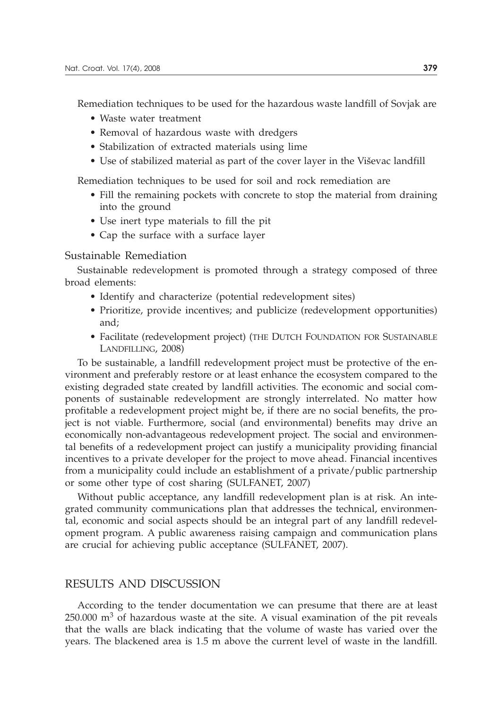Remediation techniques to be used for the hazardous waste landfill of Sovjak are

- Waste water treatment
- Removal of hazardous waste with dredgers
- Stabilization of extracted materials using lime
- Use of stabilized material as part of the cover layer in the Viševac landfill

Remediation techniques to be used for soil and rock remediation are

- Fill the remaining pockets with concrete to stop the material from draining into the ground
- Use inert type materials to fill the pit
- Cap the surface with a surface layer

#### Sustainable Remediation

Sustainable redevelopment is promoted through a strategy composed of three broad elements:

- Identify and characterize (potential redevelopment sites)
- Prioritize, provide incentives; and publicize (redevelopment opportunities) and;
- Facilitate (redevelopment project) (THE DUTCH FOUNDATION FOR SUSTAINABLE LANDFILLING, 2008)

To be sustainable, a landfill redevelopment project must be protective of the environment and preferably restore or at least enhance the ecosystem compared to the existing degraded state created by landfill activities. The economic and social components of sustainable redevelopment are strongly interrelated. No matter how profitable a redevelopment project might be, if there are no social benefits, the project is not viable. Furthermore, social (and environmental) benefits may drive an economically non-advantageous redevelopment project. The social and environmental benefits of a redevelopment project can justify a municipality providing financial incentives to a private developer for the project to move ahead. Financial incentives from a municipality could include an establishment of a private/public partnership or some other type of cost sharing (SULFANET, 2007)

Without public acceptance, any landfill redevelopment plan is at risk. An integrated community communications plan that addresses the technical, environmental, economic and social aspects should be an integral part of any landfill redevelopment program. A public awareness raising campaign and communication plans are crucial for achieving public acceptance (SULFANET, 2007).

# RESULTS AND DISCUSSION

According to the tender documentation we can presume that there are at least  $250.000 \text{ m}^3$  of hazardous waste at the site. A visual examination of the pit reveals that the walls are black indicating that the volume of waste has varied over the years. The blackened area is 1.5 m above the current level of waste in the landfill.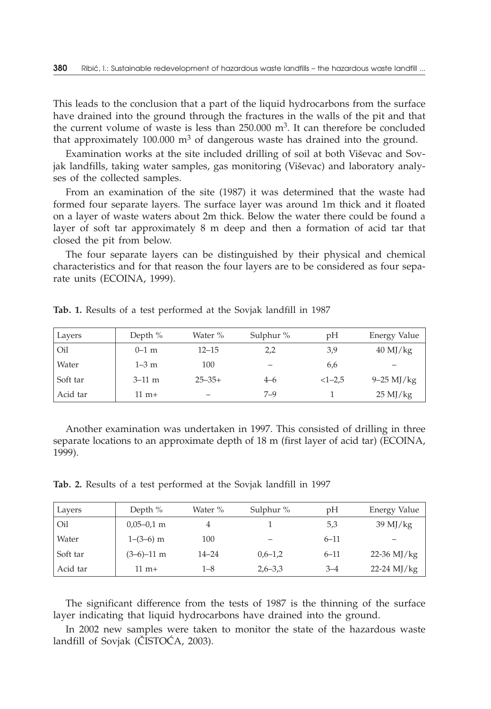This leads to the conclusion that a part of the liquid hydrocarbons from the surface have drained into the ground through the fractures in the walls of the pit and that the current volume of waste is less than  $250.000 \text{ m}^3$ . It can therefore be concluded that approximately 100.000  $\text{m}^3$  of dangerous waste has drained into the ground.

Examination works at the site included drilling of soil at both Viševac and Sovjak landfills, taking water samples, gas monitoring (Viševac) and laboratory analyses of the collected samples.

From an examination of the site (1987) it was determined that the waste had formed four separate layers. The surface layer was around 1m thick and it floated on a layer of waste waters about 2m thick. Below the water there could be found a layer of soft tar approximately 8 m deep and then a formation of acid tar that closed the pit from below.

The four separate layers can be distinguished by their physical and chemical characteristics and for that reason the four layers are to be considered as four separate units (ECOINA, 1999).

| Layers   | Depth $%$       | Water %     | Sulphur $%$              | pH       | Energy Value        |
|----------|-----------------|-------------|--------------------------|----------|---------------------|
| Oil      | $0-1$ m         | $12 - 15$   | 2,2                      | 3,9      | $40 \text{ MJ/kg}$  |
| Water    | $1-3$ m         | 100         | $\overline{\phantom{0}}$ | 6,6      | –                   |
| Soft tar | $3-11$ m        | $25 - 35 +$ | $4 - 6$                  | $<1-2.5$ | $9 - 25$ MJ/kg      |
| Acid tar | $11 \text{ m}+$ |             | $7 - 9$                  |          | $25 \mathrm{MJ/kg}$ |

**Tab. 1.** Results of a test performed at the Sovjak landfill in 1987

Another examination was undertaken in 1997. This consisted of drilling in three separate locations to an approximate depth of 18 m (first layer of acid tar) (ECOINA, 1999).

**Tab. 2.** Results of a test performed at the Sovjak landfill in 1997

| Layers   | Depth $%$       | Water %   | Sulphur %   | pH       | Energy Value  |
|----------|-----------------|-----------|-------------|----------|---------------|
| Oil      | $0,05-0,1$ m    |           |             | 5,3      | $39$ MJ/kg    |
| Water    | $1-(3-6)$ m     | 100       |             | $6 - 11$ |               |
| Soft tar | $(3-6)-11$ m    | $14 - 24$ | $0.6 - 1.2$ | $6 - 11$ | 22-36 MJ/kg   |
| Acid tar | $11 \text{ m}+$ | $1 - 8$   | $2,6 - 3,3$ | $3 - 4$  | $22-24$ MJ/kg |

The significant difference from the tests of 1987 is the thinning of the surface layer indicating that liquid hydrocarbons have drained into the ground.

In 2002 new samples were taken to monitor the state of the hazardous waste landfill of Sovjak (ČISTOĆA, 2003).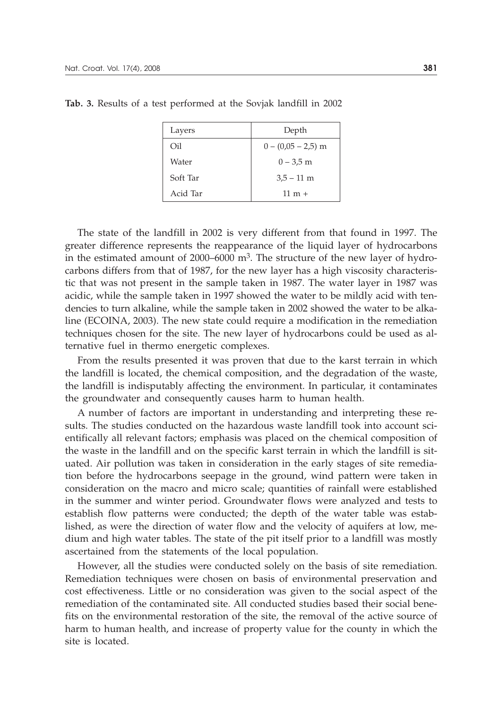| Layers   | Depth                |
|----------|----------------------|
| Oil      | $0 - (0.05 - 2.5)$ m |
| Water    | $0 - 3.5$ m          |
| Soft Tar | $3,5 - 11$ m         |
| Acid Tar | $11 \text{ m} +$     |

**Tab. 3.** Results of a test performed at the Sovjak landfill in 2002

The state of the landfill in 2002 is very different from that found in 1997. The greater difference represents the reappearance of the liquid layer of hydrocarbons in the estimated amount of 2000–6000  $m<sup>3</sup>$ . The structure of the new layer of hydrocarbons differs from that of 1987, for the new layer has a high viscosity characteristic that was not present in the sample taken in 1987. The water layer in 1987 was acidic, while the sample taken in 1997 showed the water to be mildly acid with tendencies to turn alkaline, while the sample taken in 2002 showed the water to be alkaline (ECOINA, 2003). The new state could require a modification in the remediation techniques chosen for the site. The new layer of hydrocarbons could be used as alternative fuel in thermo energetic complexes.

From the results presented it was proven that due to the karst terrain in which the landfill is located, the chemical composition, and the degradation of the waste, the landfill is indisputably affecting the environment. In particular, it contaminates the groundwater and consequently causes harm to human health.

A number of factors are important in understanding and interpreting these results. The studies conducted on the hazardous waste landfill took into account scientifically all relevant factors; emphasis was placed on the chemical composition of the waste in the landfill and on the specific karst terrain in which the landfill is situated. Air pollution was taken in consideration in the early stages of site remediation before the hydrocarbons seepage in the ground, wind pattern were taken in consideration on the macro and micro scale; quantities of rainfall were established in the summer and winter period. Groundwater flows were analyzed and tests to establish flow patterns were conducted; the depth of the water table was established, as were the direction of water flow and the velocity of aquifers at low, medium and high water tables. The state of the pit itself prior to a landfill was mostly ascertained from the statements of the local population.

However, all the studies were conducted solely on the basis of site remediation. Remediation techniques were chosen on basis of environmental preservation and cost effectiveness. Little or no consideration was given to the social aspect of the remediation of the contaminated site. All conducted studies based their social benefits on the environmental restoration of the site, the removal of the active source of harm to human health, and increase of property value for the county in which the site is located.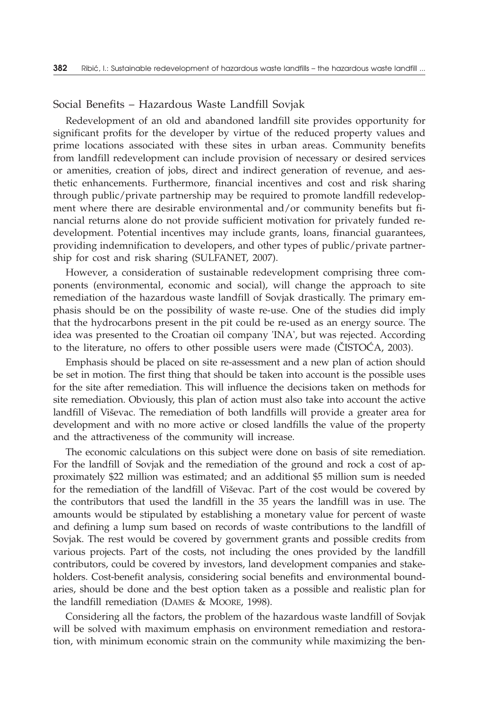## Social Benefits – Hazardous Waste Landfill Sovjak

Redevelopment of an old and abandoned landfill site provides opportunity for significant profits for the developer by virtue of the reduced property values and prime locations associated with these sites in urban areas. Community benefits from landfill redevelopment can include provision of necessary or desired services or amenities, creation of jobs, direct and indirect generation of revenue, and aesthetic enhancements. Furthermore, financial incentives and cost and risk sharing through public/private partnership may be required to promote landfill redevelopment where there are desirable environmental and/or community benefits but financial returns alone do not provide sufficient motivation for privately funded redevelopment. Potential incentives may include grants, loans, financial guarantees, providing indemnification to developers, and other types of public/private partnership for cost and risk sharing (SULFANET, 2007).

However, a consideration of sustainable redevelopment comprising three components (environmental, economic and social), will change the approach to site remediation of the hazardous waste landfill of Sovjak drastically. The primary emphasis should be on the possibility of waste re-use. One of the studies did imply that the hydrocarbons present in the pit could be re-used as an energy source. The idea was presented to the Croatian oil company 'INA', but was rejected. According to the literature, no offers to other possible users were made ( $\text{CISTOCA}, 2003$ ).

Emphasis should be placed on site re-assessment and a new plan of action should be set in motion. The first thing that should be taken into account is the possible uses for the site after remediation. This will influence the decisions taken on methods for site remediation. Obviously, this plan of action must also take into account the active landfill of Viševac. The remediation of both landfills will provide a greater area for development and with no more active or closed landfills the value of the property and the attractiveness of the community will increase.

The economic calculations on this subject were done on basis of site remediation. For the landfill of Sovjak and the remediation of the ground and rock a cost of approximately \$22 million was estimated; and an additional \$5 million sum is needed for the remediation of the landfill of Viševac. Part of the cost would be covered by the contributors that used the landfill in the 35 years the landfill was in use. The amounts would be stipulated by establishing a monetary value for percent of waste and defining a lump sum based on records of waste contributions to the landfill of Sovjak. The rest would be covered by government grants and possible credits from various projects. Part of the costs, not including the ones provided by the landfill contributors, could be covered by investors, land development companies and stakeholders. Cost-benefit analysis, considering social benefits and environmental boundaries, should be done and the best option taken as a possible and realistic plan for the landfill remediation (DAMES & MOORE, 1998).

Considering all the factors, the problem of the hazardous waste landfill of Sovjak will be solved with maximum emphasis on environment remediation and restoration, with minimum economic strain on the community while maximizing the ben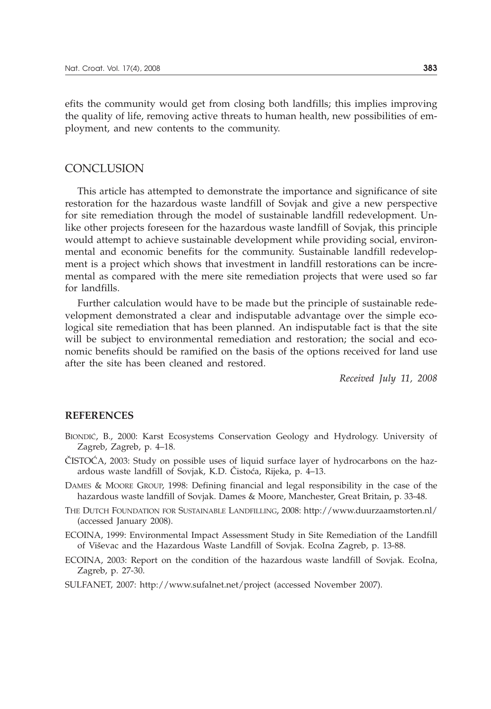efits the community would get from closing both landfills; this implies improving the quality of life, removing active threats to human health, new possibilities of employment, and new contents to the community.

# **CONCLUSION**

This article has attempted to demonstrate the importance and significance of site restoration for the hazardous waste landfill of Sovjak and give a new perspective for site remediation through the model of sustainable landfill redevelopment. Unlike other projects foreseen for the hazardous waste landfill of Sovjak, this principle would attempt to achieve sustainable development while providing social, environmental and economic benefits for the community. Sustainable landfill redevelopment is a project which shows that investment in landfill restorations can be incremental as compared with the mere site remediation projects that were used so far for landfills.

Further calculation would have to be made but the principle of sustainable redevelopment demonstrated a clear and indisputable advantage over the simple ecological site remediation that has been planned. An indisputable fact is that the site will be subject to environmental remediation and restoration; the social and economic benefits should be ramified on the basis of the options received for land use after the site has been cleaned and restored.

*Received July 11, 2008*

#### **REFERENCES**

- BIONDIĆ, B., 2000: Karst Ecosystems Conservation Geology and Hydrology. University of Zagreb, Zagreb, p. 4–18.
- $\text{CISTOCA},$  2003: Study on possible uses of liquid surface layer of hydrocarbons on the hazardous waste landfill of Sovjak, K.D. Čistoća, Rijeka, p. 4–13.
- DAMES & MOORE GROUP, 1998: Defining financial and legal responsibility in the case of the hazardous waste landfill of Sovjak. Dames & Moore, Manchester, Great Britain, p. 33-48.
- THE DUTCH FOUNDATION FOR SUSTAINABLE LANDFILLING, 2008: http://www.duurzaamstorten.nl/ (accessed January 2008).
- ECOINA, 1999: Environmental Impact Assessment Study in Site Remediation of the Landfill of Viševac and the Hazardous Waste Landfill of Sovjak. EcoIna Zagreb, p. 13-88.

ECOINA, 2003: Report on the condition of the hazardous waste landfill of Sovjak. EcoIna, Zagreb, p. 27-30.

SULFANET, 2007: http://www.sufalnet.net/project (accessed November 2007).